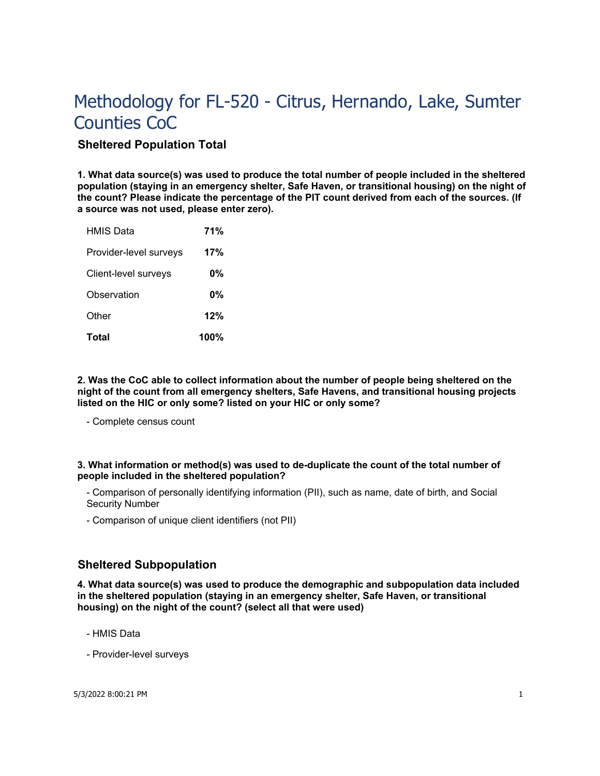# **Sheltered Population Total**

**1. What data source(s) was used to produce the total number of people included in the sheltered population (staying in an emergency shelter, Safe Haven, or transitional housing) on the night of the count? Please indicate the percentage of the PIT count derived from each of the sources. (If a source was not used, please enter zero).**

| <b>HMIS Data</b>       | 71%   |
|------------------------|-------|
| Provider-level surveys | 17%   |
| Client-level surveys   | 0%    |
| Observation            | $0\%$ |
| Other                  | 12%   |
| <b>Total</b>           | 100%  |

**2. Was the CoC able to collect information about the number of people being sheltered on the night of the count from all emergency shelters, Safe Havens, and transitional housing projects listed on the HIC or only some? listed on your HIC or only some?**

- Complete census count

## **3. What information or method(s) was used to de-duplicate the count of the total number of people included in the sheltered population?**

- Comparison of personally identifying information (PII), such as name, date of birth, and Social Security Number

- Comparison of unique client identifiers (not PII)

# **Sheltered Subpopulation**

**4. What data source(s) was used to produce the demographic and subpopulation data included in the sheltered population (staying in an emergency shelter, Safe Haven, or transitional housing) on the night of the count? (select all that were used)**

- HMIS Data

- Provider-level surveys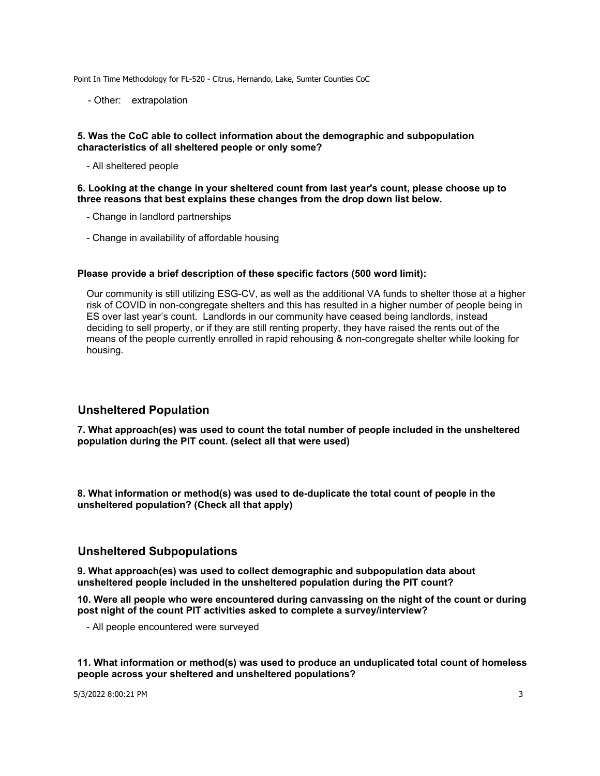- Other: extrapolation

#### **5. Was the CoC able to collect information about the demographic and subpopulation characteristics of all sheltered people or only some?**

- All sheltered people

#### **6. Looking at the change in your sheltered count from last year's count, please choose up to three reasons that best explains these changes from the drop down list below.**

- Change in landlord partnerships
- Change in availability of affordable housing

## **Please provide a brief description of these specific factors (500 word limit):**

Our community is still utilizing ESG-CV, as well as the additional VA funds to shelter those at a higher risk of COVID in non-congregate shelters and this has resulted in a higher number of people being in ES over last year's count. Landlords in our community have ceased being landlords, instead deciding to sell property, or if they are still renting property, they have raised the rents out of the means of the people currently enrolled in rapid rehousing & non-congregate shelter while looking for housing.

# **Unsheltered Population**

**7. What approach(es) was used to count the total number of people included in the unsheltered population during the PIT count. (select all that were used)**

**8. What information or method(s) was used to de-duplicate the total count of people in the unsheltered population? (Check all that apply)**

## **Unsheltered Subpopulations**

**9. What approach(es) was used to collect demographic and subpopulation data about unsheltered people included in the unsheltered population during the PIT count?**

**10. Were all people who were encountered during canvassing on the night of the count or during post night of the count PIT activities asked to complete a survey/interview?**

- All people encountered were surveyed

**11. What information or method(s) was used to produce an unduplicated total count of homeless people across your sheltered and unsheltered populations?**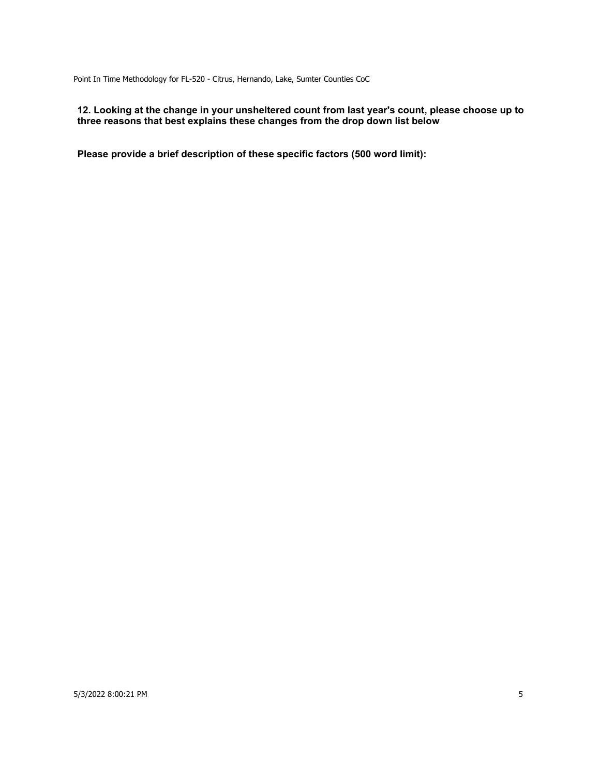## **12. Looking at the change in your unsheltered count from last year's count, please choose up to three reasons that best explains these changes from the drop down list below**

**Please provide a brief description of these specific factors (500 word limit):**